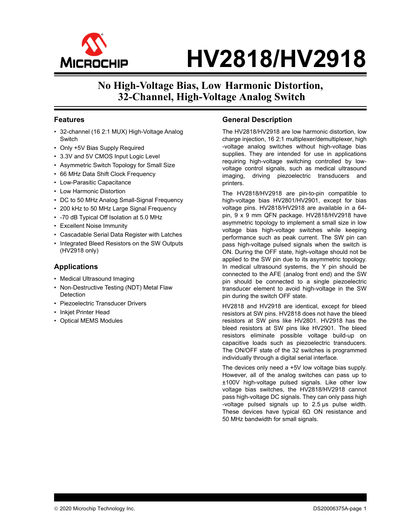

# **No High-Voltage Bias, Low Harmonic Distortion, 32-Channel, High-Voltage Analog Switch**

#### **Features**

- 32-channel (16 2:1 MUX) High-Voltage Analog **Switch**
- Only +5V Bias Supply Required
- 3.3V and 5V CMOS Input Logic Level
- Asymmetric Switch Topology for Small Size
- 66 MHz Data Shift Clock Frequency
- Low-Parasitic Capacitance
- Low Harmonic Distortion
- DC to 50 MHz Analog Small-Signal Frequency
- 200 kHz to 50 MHz Large Signal Frequency
- -70 dB Typical Off Isolation at 5.0 MHz
- Excellent Noise Immunity
- Cascadable Serial Data Register with Latches
- Integrated Bleed Resistors on the SW Outputs (HV2918 only)

#### **Applications**

- Medical Ultrasound Imaging
- Non-Destructive Testing (NDT) Metal Flaw **Detection**
- Piezoelectric Transducer Drivers
- Inkjet Printer Head
- Optical MEMS Modules

#### **General Description**

The HV2818/HV2918 are low harmonic distortion, low charge injection, 16 2:1 multiplexer/demultiplexer, high -voltage analog switches without high-voltage bias supplies. They are intended for use in applications requiring high-voltage switching controlled by lowvoltage control signals, such as medical ultrasound imaging, driving piezoelectric transducers and printers.

The HV2818/HV2918 are pin-to-pin compatible to high-voltage bias HV2801/HV2901, except for bias voltage pins. HV2818/HV2918 are available in a 64 pin, 9 x 9 mm QFN package. HV2818/HV2918 have asymmetric topology to implement a small size in low voltage bias high-voltage switches while keeping performance such as peak current. The SW pin can pass high-voltage pulsed signals when the switch is ON. During the OFF state, high-voltage should not be applied to the SW pin due to its asymmetric topology. In medical ultrasound systems, the Y pin should be connected to the AFE (analog front end) and the SW pin should be connected to a single piezoelectric transducer element to avoid high-voltage in the SW pin during the switch OFF state.

HV2818 and HV2918 are identical, except for bleed resistors at SW pins. HV2818 does not have the bleed resistors at SW pins like HV2801. HV2918 has the bleed resistors at SW pins like HV2901. The bleed resistors eliminate possible voltage build-up on capacitive loads such as piezoelectric transducers. The ON/OFF state of the 32 switches is programmed individually through a digital serial interface.

The devices only need a +5V low voltage bias supply. However, all of the analog switches can pass up to ±100V high-voltage pulsed signals. Like other low voltage bias switches, the HV2818/HV2918 cannot pass high-voltage DC signals. They can only pass high -voltage pulsed signals up to 2.5 μs pulse width. These devices have typical 6Ω ON resistance and 50 MHz bandwidth for small signals.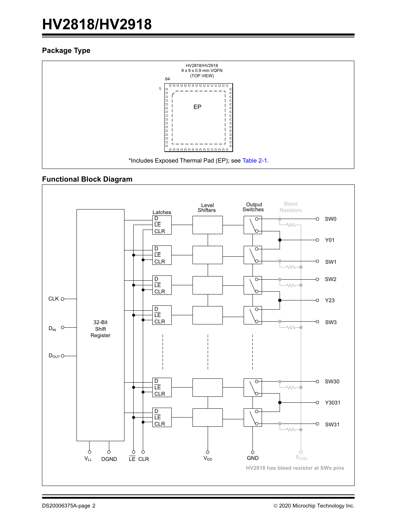#### **Package Type**



#### **Functional Block Diagram**

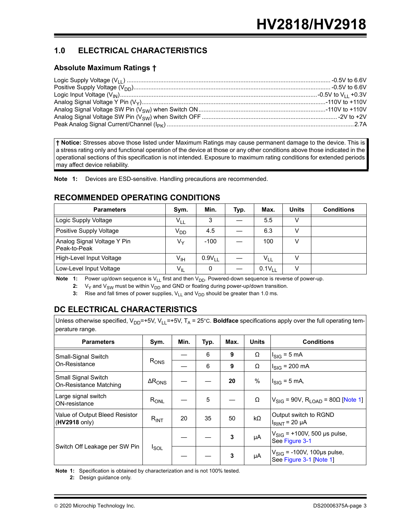# **1.0 ELECTRICAL CHARACTERISTICS**

### **Absolute Maximum Ratings †**

**† Notice:** Stresses above those listed under Maximum Ratings may cause permanent damage to the device. This is a stress rating only and functional operation of the device at those or any other conditions above those indicated in the operational sections of this specification is not intended. Exposure to maximum rating conditions for extended periods may affect device reliability.

**Note 1:** Devices are ESD-sensitive. Handling precautions are recommended.

### **RECOMMENDED OPERATING CONDITIONS**

| <b>Parameters</b>                           | Sym.            | Min.        | Typ. | Max.               | <b>Units</b> | <b>Conditions</b> |
|---------------------------------------------|-----------------|-------------|------|--------------------|--------------|-------------------|
| Logic Supply Voltage                        | $V_{LL}$        | 3           |      | 5.5                |              |                   |
| Positive Supply Voltage                     | V <sub>DD</sub> | 4.5         |      | 6.3                |              |                   |
| Analog Signal Voltage Y Pin<br>Peak-to-Peak | Vy              | $-100$      |      | 100                |              |                   |
| High-Level Input Voltage                    | V <sub>IH</sub> | $0.9V_{LL}$ |      | $V_{LL}$           |              |                   |
| Low-Level Input Voltage                     | $V_{IL}$        | 0           |      | 0.1V <sub>LL</sub> |              |                   |

**Note 1:** Power up/down sequence is V<sub>LL</sub> first and then V<sub>DD</sub>. Powered-down sequence is reverse of power-up.

**2:**  $V_Y$  and  $V_{SW}$  must be within  $V_{DD}$  and GND or floating during power-up/down transition.

**3:** Rise and fall times of power supplies, V<sub>LL</sub> and V<sub>DD</sub> should be greater than 1.0 ms.

# **DC ELECTRICAL CHARACTERISTICS**

|                 | Unless otherwise specified, $V_{DD}$ =+5V, $V_{11}$ =+5V, T <sub>A</sub> = 25°C. <b>Boldface</b> specifications apply over the full operating tem- |
|-----------------|----------------------------------------------------------------------------------------------------------------------------------------------------|
| perature range. |                                                                                                                                                    |

| <b>Parameters</b>                               | Sym.                    | Min. | Typ. | Max. | <b>Units</b> | <b>Conditions</b>                                                 |
|-------------------------------------------------|-------------------------|------|------|------|--------------|-------------------------------------------------------------------|
| Small-Signal Switch                             |                         |      | 6    | 9    | Ω            | $I_{\text{SIG}} = 5 \text{ mA}$                                   |
| On-Resistance                                   | $R_{\text{ONS}}$        |      | 6    | 9    | Ω            | $I_{SIG}$ = 200 mA                                                |
| Small Signal Switch<br>On-Resistance Matching   | $\Delta R_{\text{ONS}}$ |      |      | 20   | %            | $I_{\text{SIG}} = 5 \text{ mA}$                                   |
| Large signal switch<br>ON-resistance            | $R_{ONL}$               |      | 5    |      | Ω            | $V_{\text{SIG}}$ = 90V, R <sub>LOAD</sub> = 80 $\Omega$ [Note 1]  |
| Value of Output Bleed Resistor<br>(HV2918 only) | $R_{INT}$               | 20   | 35   | 50   | kΩ           | Output switch to RGND<br>$I_{RINT}$ = 20 µA                       |
|                                                 | $I_{SOL}$               |      |      | 3    | μA           | $V_{\text{SIG}}$ = +100V, 500 µs pulse,<br>See Figure 3-1         |
| Switch Off Leakage per SW Pin                   |                         |      |      | 3    | μA           | $V_{\text{SIG}}$ = -100V, 100µs pulse,<br>See Figure 3-1 [Note 1] |

<span id="page-2-1"></span><span id="page-2-0"></span>**Note 1:** Specification is obtained by characterization and is not 100% tested.

**2:** Design guidance only.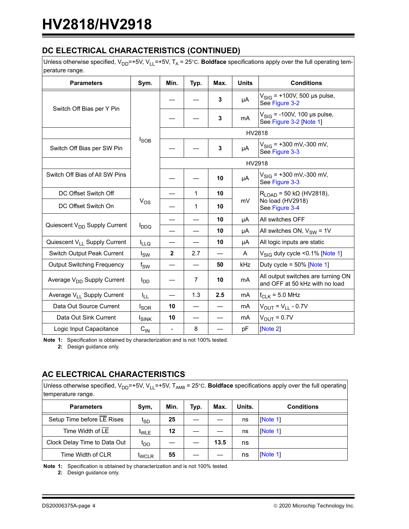# **DC ELECTRICAL CHARACTERISTICS (CONTINUED)**

Unless otherwise specified, V<sub>DD</sub>=+5V, V<sub>LL</sub>=+5V, T<sub>A</sub> = 25°C. **Boldface** specifications apply over the full operating temperature range.

| poraturo rango.                          |                  |                          |                |      |              |                                                                      |  |  |
|------------------------------------------|------------------|--------------------------|----------------|------|--------------|----------------------------------------------------------------------|--|--|
| <b>Parameters</b>                        | Sym.             | Min.                     | Typ.           | Max. | <b>Units</b> | <b>Conditions</b>                                                    |  |  |
|                                          |                  |                          |                | 3    | μA           | $V_{\text{SIG}}$ = +100V, 500 µs pulse,<br>See Figure 3-2            |  |  |
| Switch Off Bias per Y Pin                |                  |                          |                | 3    | mA           | $V_{\text{SIG}}$ = -100V, 100 µs pulse,<br>See Figure 3-2 [Note 1]   |  |  |
|                                          |                  |                          |                |      | HV2818       |                                                                      |  |  |
| Switch Off Bias per SW Pin               | $I_{\text{SOB}}$ |                          |                | 3    | μA           | $V_{\text{SIG}}$ = +300 mV,-300 mV,<br>See Figure 3-3                |  |  |
|                                          |                  |                          |                |      | HV2918       |                                                                      |  |  |
| Switch Off Bias of All SW Pins           |                  |                          |                | 10   | μA           | $V_{\text{SIG}}$ = +300 mV,-300 mV,<br>See Figure 3-3                |  |  |
| DC Offset Switch Off                     |                  |                          | $\mathbf{1}$   | 10   |              | $R_{LOAD}$ = 50 k $\Omega$ (HV2818),                                 |  |  |
| DC Offset Switch On                      | $V_{OS}$         |                          | 1              | 10   | mV           | No load (HV2918)<br>See Figure 3-4                                   |  |  |
|                                          |                  |                          |                | 10   | μA           | All switches OFF                                                     |  |  |
| Quiescent V <sub>DD</sub> Supply Current | $I_{DDQ}$        |                          |                | 10   | μA           | All switches ON, $V_{SW} = 1V$                                       |  |  |
| Quiescent V <sub>LL</sub> Supply Current | <sup>I</sup> LLQ |                          |                | 10   | μA           | All logic inputs are static                                          |  |  |
| Switch Output Peak Current               | $I_{SW}$         | $\mathbf{2}$             | 2.7            |      | A            | $V_{\text{SIG}}$ duty cycle < 0.1% [Note 1]                          |  |  |
| <b>Output Switching Frequency</b>        | $f_{SW}$         |                          |                | 50   | kHz          | Duty cycle = $50\%$ [Note 1]                                         |  |  |
| Average V <sub>DD</sub> Supply Current   | l <sub>DD</sub>  |                          | $\overline{7}$ | 10   | mA           | All output switches are turning ON<br>and OFF at 50 kHz with no load |  |  |
| Average V <sub>LL</sub> Supply Current   | ŀμ               |                          | 1.3            | 2.5  | mA           | $f_{CLK}$ = 5.0 MHz                                                  |  |  |
| Data Out Source Current                  | <sub>sor</sub>   | 10                       |                |      | mA           | $V_{OUT} = V_{LL} - 0.7V$                                            |  |  |
| Data Out Sink Current                    | <b>I</b> SINK    | 10                       |                |      | mA           | $V_{\text{OUT}} = 0.7V$                                              |  |  |
| Logic Input Capacitance                  | $C_{IN}$         | $\overline{\phantom{a}}$ | 8              |      | pF           | [Note 2]                                                             |  |  |

**Note 1:** Specification is obtained by characterization and is not 100% tested.

**2:** Design guidance only.

# **AC ELECTRICAL CHARACTERISTICS**

Unless otherwise specified, V<sub>DD</sub>=+5V, V<sub>LL</sub>=+5V, T<sub>AMB</sub> = 25°C. **Boldface** specifications apply over the full operating temperature range.

| <b>Parameters</b>            | Sym,              | Min.              | Typ. | Max. | Units. | <b>Conditions</b> |
|------------------------------|-------------------|-------------------|------|------|--------|-------------------|
| Setup Time before LE Rises   | ւ <sub>SD</sub>   | 25                |      |      | ns     | [Note 1]          |
| Time Width of LE             | <sup>t</sup> WLE  | $12 \overline{ }$ |      |      | ns     | <b>Note 11</b>    |
| Clock Delay Time to Data Out | 'DO               |                   |      | 13.5 | ns     |                   |
| Time Width of CLR            | <sup>L</sup> WCLR | 55                |      |      | ns     | <b>Note 11</b>    |

<span id="page-3-0"></span>**Note 1:** Specification is obtained by characterization and is not 100% tested.

**2:** Design guidance only.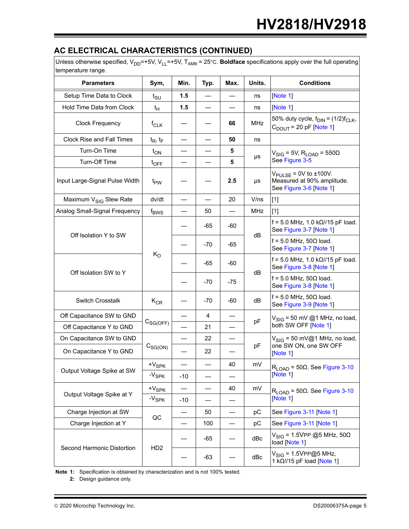# **AC ELECTRICAL CHARACTERISTICS (CONTINUED)**

Unless otherwise specified,  $V_{DD}$ =+5V,  $V_{LL}$ =+5V, T<sub>AMB</sub> = 25°C. **Boldface** specifications apply over the full operating temperature range.

| temperature range.                 |                   |                          |       |                                |            |                                                                                                 |  |  |  |
|------------------------------------|-------------------|--------------------------|-------|--------------------------------|------------|-------------------------------------------------------------------------------------------------|--|--|--|
| <b>Parameters</b>                  | Sym,              | Min.                     | Typ.  | Max.                           | Units.     | <b>Conditions</b>                                                                               |  |  |  |
| Setup Time Data to Clock           | $t_{\text{SU}}$   | 1.5                      |       | $\qquad \qquad \longleftarrow$ | ns         | [Note 1]                                                                                        |  |  |  |
| Hold Time Data from Clock          | $t_H$             | 1.5                      | —     | $\overline{\phantom{0}}$       | ns         | [Note 1]                                                                                        |  |  |  |
| <b>Clock Frequency</b>             | $f_{CLK}$         |                          |       | 66                             | <b>MHz</b> | 50% duty cycle, $f_{\text{DIN}} = (1/2)f_{\text{CLK}}$ ,<br>$C_{DOUT}$ = 20 pF [Note 1]         |  |  |  |
| <b>Clock Rise and Fall Times</b>   | $t_R$ , $t_F$     | $\overline{\phantom{0}}$ |       | 50                             | ns         |                                                                                                 |  |  |  |
| Turn-On Time                       | $t_{ON}$          |                          |       | 5                              | μs         | $V_{\text{SIG}}$ = 5V, R <sub>LOAD</sub> = 550 $\Omega$                                         |  |  |  |
| Turn-Off Time                      | $t_{\text{OFF}}$  |                          |       | 5                              |            | See Figure 3-5                                                                                  |  |  |  |
| Input Large-Signal Pulse Width     | t <sub>PW</sub>   |                          |       | 2.5                            | μs         | $V_{\text{PULSE}}$ = 0V to $\pm$ 100V.<br>Measured at 90% amplitude.<br>See Figure 3-6 [Note 1] |  |  |  |
| Maximum V <sub>SIG</sub> Slew Rate | dv/dt             |                          |       | 20                             | V/ns       | $[1]$                                                                                           |  |  |  |
| Analog Small-Signal Frequency      | $f_{BWS}$         |                          | 50    | $\qquad \qquad -$              | <b>MHz</b> | $[1]$                                                                                           |  |  |  |
|                                    |                   |                          | -65   | -60                            |            | $f = 5.0$ MHz, 1.0 kΩ//15 pF load.<br>See Figure 3-7 [Note 1]                                   |  |  |  |
| Off Isolation Y to SW              |                   |                          | $-70$ | $-65$                          | dB         | $f = 5.0$ MHz, 50 $\Omega$ load.<br>See Figure 3-7 [Note 1]                                     |  |  |  |
|                                    | $K_{\rm O}$       |                          | -65   | $-60$                          | dB         | $f = 5.0$ MHz, 1.0 kΩ//15 pF load.<br>See Figure 3-8 [Note 1]                                   |  |  |  |
| Off Isolation SW to Y              |                   |                          | -70   | $-75$                          |            | $f = 5.0$ MHz, 50 $\Omega$ load.<br>See Figure 3-8 [Note 1]                                     |  |  |  |
| <b>Switch Crosstalk</b>            | $K_{CR}$          |                          | $-70$ | $-60$                          | dB         | $f = 5.0$ MHz, 50 $\Omega$ load.<br>See Figure 3-9 [Note 1]                                     |  |  |  |
| Off Capacitance SW to GND          |                   |                          | 4     | $\overline{\phantom{0}}$       |            | $V_{\text{SIG}}$ = 50 mV @1 MHz, no load,                                                       |  |  |  |
| Off Capacitance Y to GND           | $C_{SG(OFF)}$     |                          | 21    | —                              | pF         | both SW OFF [Note 1]                                                                            |  |  |  |
| On Capacitance SW to GND           |                   |                          | 22    |                                |            | $V_{\text{SIG}}$ = 50 mV@1 MHz, no load,                                                        |  |  |  |
| On Capacitance Y to GND            | $C_{SG(ON)}$      |                          | 22    |                                | pF         | one SW ON, one SW OFF<br>[Note 1]                                                               |  |  |  |
|                                    | $+V_{SPK}$        |                          |       | 40                             | mV         | $R_{LOAD}$ = 50 $\Omega$ . See Figure 3-10                                                      |  |  |  |
| Output Voltage Spike at SW         | -V <sub>SPK</sub> | $-10$                    |       |                                |            | [Note 1]                                                                                        |  |  |  |
|                                    | $+V_{\rm SPK}$    | $\qquad \qquad -$        |       | 40                             | mV         | $R_{\text{LOAD}}$ = 50 $\Omega$ . See Figure 3-10                                               |  |  |  |
| Output Voltage Spike at Y          | -V <sub>SPK</sub> | $-10$                    |       |                                |            | [Note $1$ ]                                                                                     |  |  |  |
| Charge Injection at SW             |                   | $\overline{\phantom{0}}$ | 50    |                                | pC         | See Figure 3-11 [Note 1]                                                                        |  |  |  |
| Charge Injection at Y              | QC                |                          | 100   | $\overline{\phantom{0}}$       | pC         | See Figure 3-11 [Note 1]                                                                        |  |  |  |
|                                    |                   |                          | -65   |                                | dBc        | $V_{SIG} = 1.5VPP @5 MHz, 50Ω$<br>load [Note 1]                                                 |  |  |  |
| Second Harmonic Distortion         | HD <sub>2</sub>   |                          | $-63$ |                                | dBc        | $V_{\text{SIG}} = 1.5 \text{VPP}$ @5 MHz,<br>1 kΩ//15 pF load [Note 1]                          |  |  |  |

**Note 1:** Specification is obtained by characterization and is not 100% tested.

**2:** Design guidance only.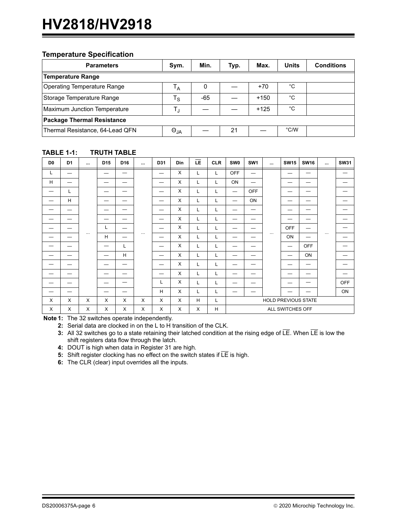#### **Temperature Specification**

| <b>Parameters</b>                   | Sym.          | Min.  | Typ. | Max.   | Units | <b>Conditions</b> |  |  |  |  |
|-------------------------------------|---------------|-------|------|--------|-------|-------------------|--|--|--|--|
| <b>Temperature Range</b>            |               |       |      |        |       |                   |  |  |  |  |
| Operating Temperature Range         | Тд            | 0     |      | $+70$  | °C    |                   |  |  |  |  |
| Storage Temperature Range           | $T_{\rm S}$   | $-65$ |      | $+150$ | °C    |                   |  |  |  |  |
| <b>Maximum Junction Temperature</b> | T,            |       |      | $+125$ | °C    |                   |  |  |  |  |
| <b>Package Thermal Resistance</b>   |               |       |      |        |       |                   |  |  |  |  |
| Thermal Resistance, 64-Lead QFN     | $\Theta_{JA}$ |       | 21   |        | °C/W  |                   |  |  |  |  |

| D <sub>0</sub> | D <sub>1</sub> | $\cdots$ | D <sub>15</sub> | D <sub>16</sub> | $\cdots$ | D31 | <b>Din</b>   | ΙĒ. | <b>CLR</b> | <b>SW0</b>       | SW <sub>1</sub> | $\cdots$ | <b>SW15</b> | <b>SW16</b>         | $\cdots$ | <b>SW31</b> |
|----------------|----------------|----------|-----------------|-----------------|----------|-----|--------------|-----|------------|------------------|-----------------|----------|-------------|---------------------|----------|-------------|
| L              |                |          |                 |                 |          |     | X            | L   | L          | <b>OFF</b>       | _               |          |             |                     |          |             |
| H              | —              |          | –               | –               |          |     | X            | L   | L          | ON               |                 |          |             |                     |          |             |
| _              | L              |          | -               | –               |          | -   | X            | L   | L          |                  | <b>OFF</b>      |          |             | —                   |          |             |
|                | H              |          | -               |                 |          |     | X            | L   | L          | -                | ON              |          |             | –                   |          |             |
|                |                |          |                 |                 |          | -   | X            | Г   | L          |                  |                 |          |             |                     |          |             |
|                |                |          |                 |                 |          |     | X            | Г   | L          |                  |                 |          |             |                     |          |             |
|                |                |          | L               | –               |          |     | X            | L   | L          |                  |                 |          | <b>OFF</b>  |                     |          |             |
|                | –              | $\cdots$ | H               |                 | $\cdots$ |     | X            | L   | L          | _                | _               | $\cdots$ | ON          |                     | $\cdots$ |             |
|                |                |          | _               | L               |          |     | X            | L   | L          |                  |                 |          | -           | <b>OFF</b>          |          |             |
|                |                |          |                 | H               |          | -   | X            | L   | L          |                  |                 |          |             | ON                  |          |             |
|                |                |          |                 | _               |          |     | X            | L   | L          |                  |                 |          |             |                     |          |             |
|                |                |          |                 |                 |          |     | X            | Г   | L          |                  |                 |          |             |                     |          |             |
|                |                |          |                 |                 |          | L   | X            | L   | L          |                  |                 |          |             |                     |          | <b>OFF</b>  |
| -              |                |          |                 |                 |          | Н   | X            | L   | L          | —                | —               |          |             |                     |          | ON          |
| X              | $\mathsf{X}$   | X        | X               | X               | X        | X   | $\mathsf{X}$ | H   | Г          |                  |                 |          |             | HOLD PREVIOUS STATE |          |             |
| X              | X              | X        | X               | X               | X        | X   | X            | X   | H          | ALL SWITCHES OFF |                 |          |             |                     |          |             |

#### <span id="page-5-0"></span>**TABLE 1-1: TRUTH TABLE**

**Note 1:** The 32 switches operate independently.

**2:** Serial data are clocked in on the L to H transition of the CLK.

**3:** All 32 switches go to a state retaining their latched condition at the rising edge of LE. When LE is low the shift registers data flow through the latch.

**4:** DOUT is high when data in Register 31 are high.

**5:** Shift register clocking has no effect on the switch states if  $\overline{\mathsf{LE}}$  is high.

**6:** The CLR (clear) input overrides all the inputs.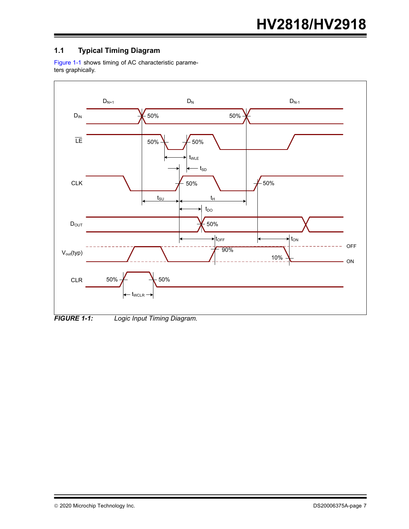# **1.1 Typical Timing Diagram**

[Figure 1-1](#page-6-0) shows timing of AC characteristic parameters graphically.



<span id="page-6-0"></span>*FIGURE 1-1: Logic Input Timing Diagram.*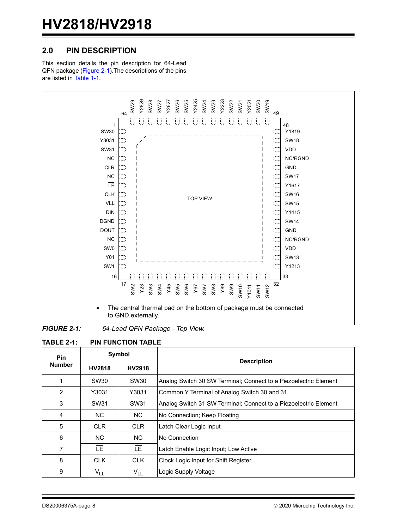# **2.0 PIN DESCRIPTION**

This section details the pin description for 64-Lead QFN package [\(Figure 2-1](#page-7-1)).The descriptions of the pins are listed in [Table 1-1](#page-5-0).



<span id="page-7-1"></span>*FIGURE 2-1: 64-Lead QFN Package - Top View.*

<span id="page-7-0"></span>

| <b>Pin</b>     |                  | Symbol     |                                                                  |  |  |  |  |  |
|----------------|------------------|------------|------------------------------------------------------------------|--|--|--|--|--|
| <b>Number</b>  | HV2818           | HV2918     | <b>Description</b>                                               |  |  |  |  |  |
| 1              | SW30             | SW30       | Analog Switch 30 SW Terminal; Connect to a Piezoelectric Element |  |  |  |  |  |
| 2              | Y3031            | Y3031      | Common Y Terminal of Analog Switch 30 and 31                     |  |  |  |  |  |
| 3              | SW <sub>31</sub> | SW31       | Analog Switch 31 SW Terminal; Connect to a Piezoelectric Element |  |  |  |  |  |
| 4              | NC.              | NC.        | No Connection; Keep Floating                                     |  |  |  |  |  |
| 5              | <b>CLR</b>       | <b>CLR</b> | Latch Clear Logic Input                                          |  |  |  |  |  |
| 6              | NC.              | NC.        | No Connection                                                    |  |  |  |  |  |
| $\overline{7}$ | LF.              | LE.        | Latch Enable Logic Input; Low Active                             |  |  |  |  |  |
| 8              | <b>CLK</b>       | <b>CLK</b> | Clock Logic Input for Shift Register                             |  |  |  |  |  |
| 9              | V <sub>LL</sub>  | $V_{LL}$   | Logic Supply Voltage                                             |  |  |  |  |  |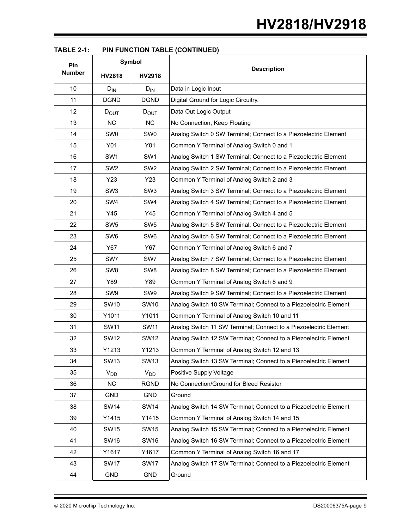| Pin           |                 | Symbol          |                                                                  |
|---------------|-----------------|-----------------|------------------------------------------------------------------|
| <b>Number</b> | HV2818          | HV2918          | <b>Description</b>                                               |
| 10            | $D_{IN}$        | $D_{IN}$        | Data in Logic Input                                              |
| 11            | <b>DGND</b>     | <b>DGND</b>     | Digital Ground for Logic Circuitry.                              |
| 12            | $D_{OUT}$       | $D_{OUT}$       | Data Out Logic Output                                            |
| 13            | <b>NC</b>       | NC              | No Connection; Keep Floating                                     |
| 14            | SW <sub>0</sub> | SW <sub>0</sub> | Analog Switch 0 SW Terminal; Connect to a Piezoelectric Element  |
| 15            | Y01             | Y01             | Common Y Terminal of Analog Switch 0 and 1                       |
| 16            | SW <sub>1</sub> | SW <sub>1</sub> | Analog Switch 1 SW Terminal; Connect to a Piezoelectric Element  |
| 17            | SW <sub>2</sub> | SW <sub>2</sub> | Analog Switch 2 SW Terminal; Connect to a Piezoelectric Element  |
| 18            | Y23             | Y23             | Common Y Terminal of Analog Switch 2 and 3                       |
| 19            | SW <sub>3</sub> | SW <sub>3</sub> | Analog Switch 3 SW Terminal; Connect to a Piezoelectric Element  |
| 20            | SW <sub>4</sub> | SW4             | Analog Switch 4 SW Terminal; Connect to a Piezoelectric Element  |
| 21            | Y45             | Y45             | Common Y Terminal of Analog Switch 4 and 5                       |
| 22            | SW <sub>5</sub> | SW <sub>5</sub> | Analog Switch 5 SW Terminal; Connect to a Piezoelectric Element  |
| 23            | SW <sub>6</sub> | SW <sub>6</sub> | Analog Switch 6 SW Terminal; Connect to a Piezoelectric Element  |
| 24            | Y67             | Y67             | Common Y Terminal of Analog Switch 6 and 7                       |
| 25            | SW7             | SW7             | Analog Switch 7 SW Terminal; Connect to a Piezoelectric Element  |
| 26            | SW <sub>8</sub> | SW <sub>8</sub> | Analog Switch 8 SW Terminal; Connect to a Piezoelectric Element  |
| 27            | Y89             | Y89             | Common Y Terminal of Analog Switch 8 and 9                       |
| 28            | SW9             | SW <sub>9</sub> | Analog Switch 9 SW Terminal; Connect to a Piezoelectric Element  |
| 29            | <b>SW10</b>     | <b>SW10</b>     | Analog Switch 10 SW Terminal; Connect to a Piezoelectric Element |
| 30            | Y1011           | Y1011           | Common Y Terminal of Analog Switch 10 and 11                     |
| 31            | <b>SW11</b>     | <b>SW11</b>     | Analog Switch 11 SW Terminal; Connect to a Piezoelectric Element |
| 32            | <b>SW12</b>     | <b>SW12</b>     | Analog Switch 12 SW Terminal; Connect to a Piezoelectric Element |
| 33            | Y1213           | Y1213           | Common Y Terminal of Analog Switch 12 and 13                     |
| 34            | <b>SW13</b>     | <b>SW13</b>     | Analog Switch 13 SW Terminal; Connect to a Piezoelectric Element |
| 35            | $V_{DD}$        | $V_{DD}$        | Positive Supply Voltage                                          |
| 36            | <b>NC</b>       | <b>RGND</b>     | No Connection/Ground for Bleed Resistor                          |
| 37            | GND             | <b>GND</b>      | Ground                                                           |
| 38            | <b>SW14</b>     | <b>SW14</b>     | Analog Switch 14 SW Terminal; Connect to a Piezoelectric Element |
| 39            | Y1415           | Y1415           | Common Y Terminal of Analog Switch 14 and 15                     |
| 40            | <b>SW15</b>     | <b>SW15</b>     | Analog Switch 15 SW Terminal; Connect to a Piezoelectric Element |
| 41            | <b>SW16</b>     | <b>SW16</b>     | Analog Switch 16 SW Terminal; Connect to a Piezoelectric Element |
| 42            | Y1617           | Y1617           | Common Y Terminal of Analog Switch 16 and 17                     |
| 43            | <b>SW17</b>     | <b>SW17</b>     | Analog Switch 17 SW Terminal; Connect to a Piezoelectric Element |
| 44            | GND             | <b>GND</b>      | Ground                                                           |

| <b>PIN FUNCTION TABLE (CONTINUED)</b><br><b>TABLE 2-1:</b> |
|------------------------------------------------------------|
|------------------------------------------------------------|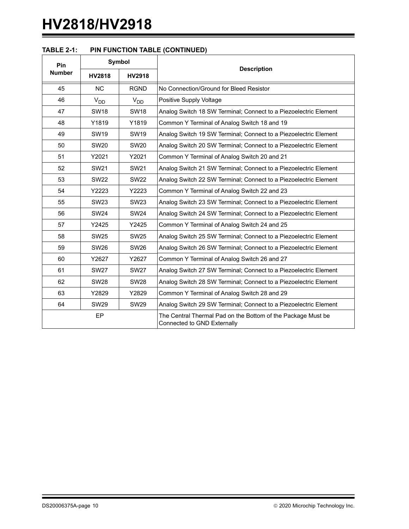| <b>TABLE 2-1:</b> | <b>PIN FUNCTION TABLE (CONTINUED)</b> |  |
|-------------------|---------------------------------------|--|
|                   |                                       |  |

| Pin                            |                  | Symbol           |                                                                                             |  |  |
|--------------------------------|------------------|------------------|---------------------------------------------------------------------------------------------|--|--|
| <b>Number</b><br><b>HV2818</b> |                  | <b>HV2918</b>    | <b>Description</b>                                                                          |  |  |
| 45                             | <b>NC</b>        | <b>RGND</b>      | No Connection/Ground for Bleed Resistor                                                     |  |  |
| 46                             | $V_{DD}$         | $V_{DD}$         | Positive Supply Voltage                                                                     |  |  |
| 47                             | <b>SW18</b>      | <b>SW18</b>      | Analog Switch 18 SW Terminal; Connect to a Piezoelectric Element                            |  |  |
| 48                             | Y1819            | Y1819            | Common Y Terminal of Analog Switch 18 and 19                                                |  |  |
| 49                             | <b>SW19</b>      | <b>SW19</b>      | Analog Switch 19 SW Terminal; Connect to a Piezoelectric Element                            |  |  |
| 50                             | SW20             | SW <sub>20</sub> | Analog Switch 20 SW Terminal; Connect to a Piezoelectric Element                            |  |  |
| 51                             | Y2021            | Y2021            | Common Y Terminal of Analog Switch 20 and 21                                                |  |  |
| 52                             | SW <sub>21</sub> | SW <sub>21</sub> | Analog Switch 21 SW Terminal; Connect to a Piezoelectric Element                            |  |  |
| 53                             | <b>SW22</b>      | <b>SW22</b>      | Analog Switch 22 SW Terminal; Connect to a Piezoelectric Element                            |  |  |
| 54                             | Y2223            | Y2223            | Common Y Terminal of Analog Switch 22 and 23                                                |  |  |
| 55                             | <b>SW23</b>      | SW <sub>23</sub> | Analog Switch 23 SW Terminal; Connect to a Piezoelectric Element                            |  |  |
| 56                             | <b>SW24</b>      | <b>SW24</b>      | Analog Switch 24 SW Terminal; Connect to a Piezoelectric Element                            |  |  |
| 57                             | Y2425            | Y2425            | Common Y Terminal of Analog Switch 24 and 25                                                |  |  |
| 58                             | <b>SW25</b>      | <b>SW25</b>      | Analog Switch 25 SW Terminal; Connect to a Piezoelectric Element                            |  |  |
| 59                             | <b>SW26</b>      | <b>SW26</b>      | Analog Switch 26 SW Terminal; Connect to a Piezoelectric Element                            |  |  |
| 60                             | Y2627            | Y2627            | Common Y Terminal of Analog Switch 26 and 27                                                |  |  |
| 61                             | <b>SW27</b>      | <b>SW27</b>      | Analog Switch 27 SW Terminal; Connect to a Piezoelectric Element                            |  |  |
| 62                             | <b>SW28</b>      | <b>SW28</b>      | Analog Switch 28 SW Terminal; Connect to a Piezoelectric Element                            |  |  |
| 63                             | Y2829            | Y2829            | Common Y Terminal of Analog Switch 28 and 29                                                |  |  |
| 64                             | <b>SW29</b>      | <b>SW29</b>      | Analog Switch 29 SW Terminal; Connect to a Piezoelectric Element                            |  |  |
|                                | EP               |                  | The Central Thermal Pad on the Bottom of the Package Must be<br>Connected to GND Externally |  |  |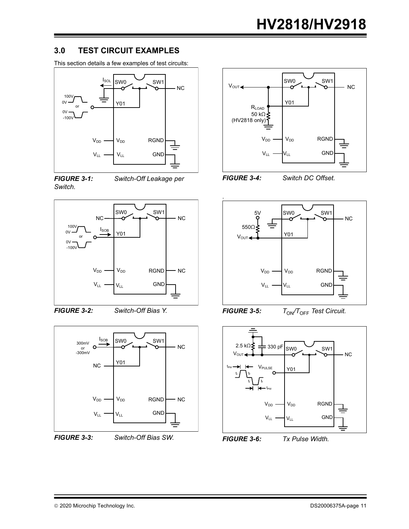### **3.0 TEST CIRCUIT EXAMPLES**

This section details a few examples of test circuits:



<span id="page-10-0"></span>*FIGURE 3-1: Switch-Off Leakage per Switch.*



<span id="page-10-1"></span>*FIGURE 3-2: Switch-Off Bias Y.*



<span id="page-10-2"></span>





<span id="page-10-3"></span>*FIGURE 3-4: Switch DC Offset.*



<span id="page-10-4"></span>*FIGURE* 3-5:  $T_{ON}/T_{OFF}$  Test Circuit.



<span id="page-10-5"></span>*FIGURE 3-6: Tx Pulse Width.*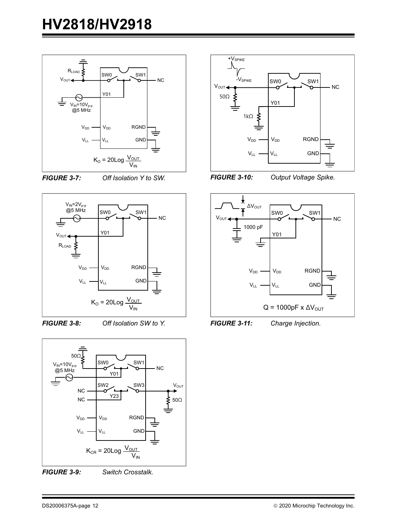

<span id="page-11-0"></span>*FIGURE 3-7: Off Isolation Y to SW.*





<span id="page-11-1"></span>*FIGURE 3-8: Off Isolation SW to Y.*



<span id="page-11-2"></span>*FIGURE 3-9: Switch Crosstalk.*





<span id="page-11-3"></span>*FIGURE 3-10: Output Voltage Spike.*



<span id="page-11-4"></span>*FIGURE 3-11: Charge Injection.*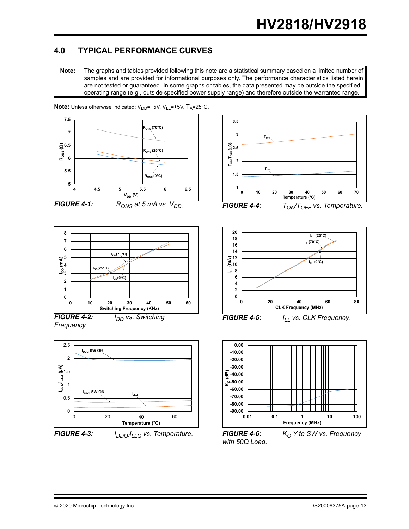# **4.0 TYPICAL PERFORMANCE CURVES**

**Note:** The graphs and tables provided following this note are a statistical summary based on a limited number of samples and are provided for informational purposes only. The performance characteristics listed herein are not tested or guaranteed. In some graphs or tables, the data presented may be outside the specified operating range (e.g., outside specified power supply range) and therefore outside the warranted range.



**Note:** Unless otherwise indicated: V<sub>DD</sub>=+5V, V<sub>LL</sub>=+5V, T<sub>A</sub>=25°C.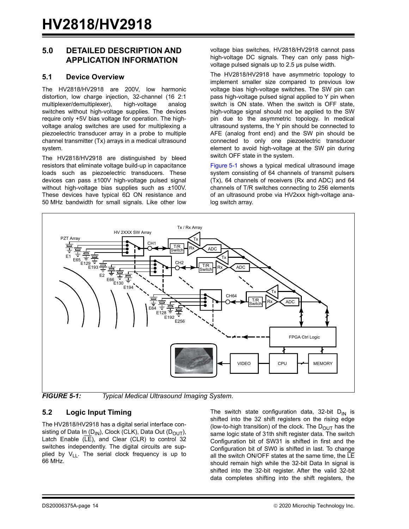### **5.0 DETAILED DESCRIPTION AND APPLICATION INFORMATION**

#### **5.1 Device Overview**

The HV2818/HV2918 are 200V, low harmonic distortion, low charge injection, 32-channel (16 2:1 multiplexer/demultiplexer), high-voltage analog switches without high-voltage supplies. The devices require only +5V bias voltage for operation. The highvoltage analog switches are used for multiplexing a piezoelectric transducer array in a probe to multiple channel transmitter (Tx) arrays in a medical ultrasound system.

The HV2818/HV2918 are distinguished by bleed resistors that eliminate voltage build-up in capacitance loads such as piezoelectric transducers. These devices can pass ±100V high-voltage pulsed signal without high-voltage bias supplies such as ±100V. These devices have typical 6Ω ON resistance and 50 MHz bandwidth for small signals. Like other low voltage bias switches, HV2818/HV2918 cannot pass high-voltage DC signals. They can only pass highvoltage pulsed signals up to 2.5 μs pulse width.

The HV2818/HV2918 have asymmetric topology to implement smaller size compared to previous low voltage bias high-voltage switches. The SW pin can pass high-voltage pulsed signal applied to Y pin when switch is ON state. When the switch is OFF state, high-voltage signal should not be applied to the SW pin due to the asymmetric topology. In medical ultrasound systems, the Y pin should be connected to AFE (analog front end) and the SW pin should be connected to only one piezoelectric transducer element to avoid high-voltage at the SW pin during switch OFF state in the system.

[Figure 5-1](#page-13-0) shows a typical medical ultrasound image system consisting of 64 channels of transmit pulsers (Tx), 64 channels of receivers (Rx and ADC) and 64 channels of T/R switches connecting to 256 elements of an ultrasound probe via HV2xxx high-voltage analog switch array.



<span id="page-13-0"></span>*FIGURE 5-1: Typical Medical Ultrasound Imaging System.*

#### **5.2 Logic Input Timing**

The HV2818/HV2918 has a digital serial interface consisting of Data In (D<sub>IN</sub>), Clock (CLK), Data Out (D<sub>OUT</sub>), Latch Enable  $(\overline{LE})$ , and Clear (CLR) to control 32 switches independently. The digital circuits are supplied by  $V_{LL}$ . The serial clock frequency is up to 66 MHz.

The switch state configuration data, 32-bit  $D_{IN}$  is shifted into the 32 shift registers on the rising edge (low-to-high transition) of the clock. The  $D_{\text{OUT}}$  has the same logic state of 31th shift register data. The switch Configuration bit of SW31 is shifted in first and the Configuration bit of SW0 is shifted in last. To change all the switch ON/OFF states at the same time, the  $LE$ should remain high while the 32-bit Data In signal is shifted into the 32-bit register. After the valid 32-bit data completes shifting into the shift registers, the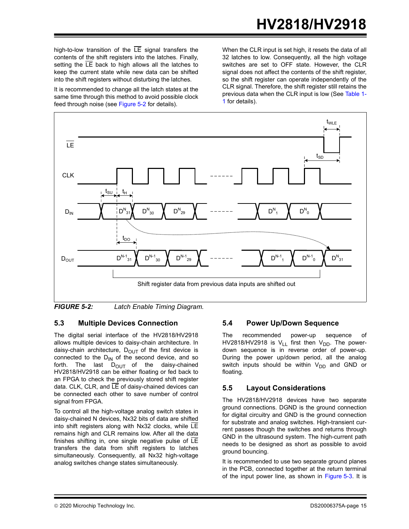high-to-low transition of the  $LE$  signal transfers the contents of the shift registers into the latches. Finally, setting the LE back to high allows all the latches to keep the current state while new data can be shifted into the shift registers without disturbing the latches.

It is recommended to change all the latch states at the same time through this method to avoid possible clock feed through noise (see [Figure 5-2](#page-14-0) for details).

When the CLR input is set high, it resets the data of all 32 latches to low. Consequently, all the high voltage switches are set to OFF state. However, the CLR signal does not affect the contents of the shift register, so the shift register can operate independently of the CLR signal. Therefore, the shift register still retains the previous data when the CLR input is low (See [Table 1-](#page-5-0) [1](#page-5-0) for details).



<span id="page-14-0"></span>*FIGURE 5-2: Latch Enable Timing Diagram.*

### **5.3 Multiple Devices Connection**

The digital serial interface of the HV2818/HV2918 allows multiple devices to daisy-chain architecture. In daisy-chain architecture,  $D_{\text{OUT}}$  of the first device is connected to the  $D_{IN}$  of the second device, and so forth. The last  $D_{\text{OUT}}$  of the daisy-chained HV2818/HV2918 can be either floating or fed back to an FPGA to check the previously stored shift register data. CLK, CLR, and  $\overline{LE}$  of daisy-chained devices can be connected each other to save number of control signal from FPGA.

To control all the high-voltage analog switch states in daisy-chained N devices, Nx32 bits of data are shifted into shift registers along with Nx32 clocks, while LE remains high and CLR remains low. After all the data finishes shifting in, one single negative pulse of  $LE$ transfers the data from shift registers to latches simultaneously. Consequently, all Nx32 high-voltage analog switches change states simultaneously.

#### **5.4 Power Up/Down Sequence**

The recommended power-up sequence of HV2818/HV2918 is  $V_{LL}$  first then  $V_{DD}$ . The powerdown sequence is in reverse order of power-up. During the power up/down period, all the analog switch inputs should be within  $V_{DD}$  and GND or floating.

#### **5.5 Layout Considerations**

The HV2818/HV2918 devices have two separate ground connections. DGND is the ground connection for digital circuitry and GND is the ground connection for substrate and analog switches. High-transient current passes though the switches and returns through GND in the ultrasound system. The high-current path needs to be designed as short as possible to avoid ground bouncing.

It is recommended to use two separate ground planes in the PCB, connected together at the return terminal of the input power line, as shown in [Figure 5-3](#page-15-0). It is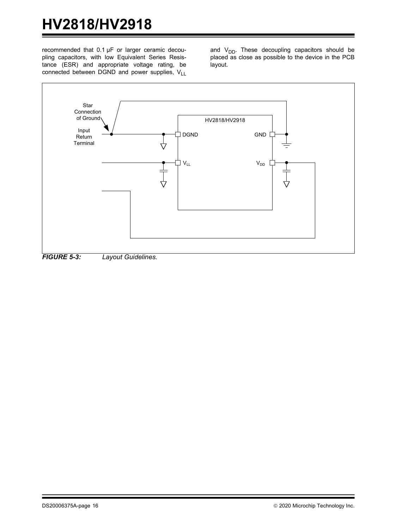recommended that 0.1 μF or larger ceramic decoupling capacitors, with low Equivalent Series Resistance (ESR) and appropriate voltage rating, be connected between DGND and power supplies,  $V_{11}$  and  $V_{DD}$ . These decoupling capacitors should be placed as close as possible to the device in the PCB layout.

<span id="page-15-0"></span>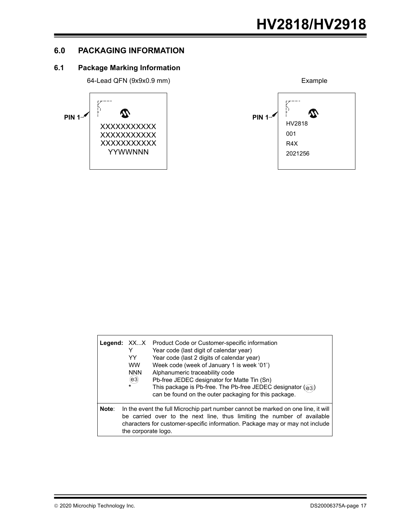## **6.0 PACKAGING INFORMATION**

# **6.1 Package Marking Information**





|       | Legend: XXX<br>YY<br><b>WW</b><br><b>NNN</b><br>(e3)<br>$\star$ | Product Code or Customer-specific information<br>Year code (last digit of calendar year)<br>Year code (last 2 digits of calendar year)<br>Week code (week of January 1 is week '01')<br>Alphanumeric traceability code<br>Pb-free JEDEC designator for Matte Tin (Sn)<br>This package is Pb-free. The Pb-free JEDEC designator ((e3))<br>can be found on the outer packaging for this package. |
|-------|-----------------------------------------------------------------|------------------------------------------------------------------------------------------------------------------------------------------------------------------------------------------------------------------------------------------------------------------------------------------------------------------------------------------------------------------------------------------------|
| Note: | the corporate logo.                                             | In the event the full Microchip part number cannot be marked on one line, it will<br>be carried over to the next line, thus limiting the number of available<br>characters for customer-specific information. Package may or may not include                                                                                                                                                   |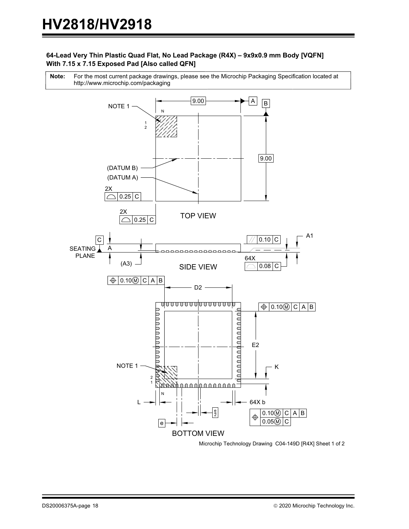#### **64-Lead Very Thin Plastic Quad Flat, No Lead Package (R4X) – 9x9x0.9 mm Body [VQFN] With 7.15 x 7.15 Exposed Pad [Also called QFN]**

For the most current package drawings, please see the Microchip Packaging Specification located at http://www.microchip.com/packaging **Note:**



Microchip Technology Drawing C04-149D [R4X] Sheet 1 of 2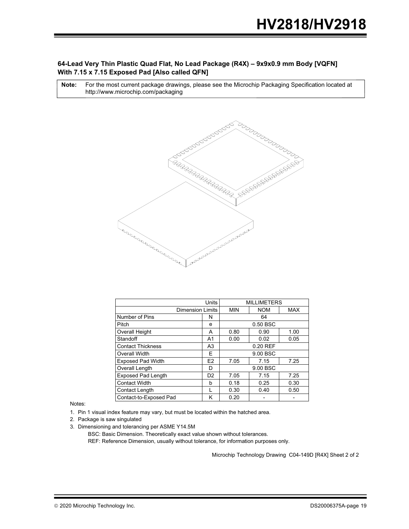#### **64-Lead Very Thin Plastic Quad Flat, No Lead Package (R4X) – 9x9x0.9 mm Body [VQFN] With 7.15 x 7.15 Exposed Pad [Also called QFN]**

For the most current package drawings, please see the Microchip Packaging Specification located at http://www.microchip.com/packaging **Note:**



|                           | <b>MILLIMETERS</b>             |                      |            |            |
|---------------------------|--------------------------------|----------------------|------------|------------|
| <b>Dimension Limits</b>   |                                | <b>MIN</b>           | <b>NOM</b> | <b>MAX</b> |
| Number of Pins            | N                              | 64                   |            |            |
| Pitch                     | e                              | 0.50 BSC             |            |            |
| Overall Height            | A                              | 0.80<br>0.90<br>1.00 |            |            |
| Standoff                  | A <sub>1</sub>                 | 0.00                 | 0.02       | 0.05       |
| <b>Contact Thickness</b>  | A <sub>3</sub>                 | 0.20 REF             |            |            |
| <b>Overall Width</b>      | F                              | 9.00 BSC             |            |            |
| <b>Exposed Pad Width</b>  | E <sub>2</sub><br>7.05<br>7.15 |                      | 7.25       |            |
| Overall Length            | D                              | 9.00 BSC             |            |            |
| <b>Exposed Pad Length</b> | D <sub>2</sub>                 | 7.05                 | 7.15       | 7.25       |
| <b>Contact Width</b>      | h                              | 0.18                 | 0.25       | 0.30       |
| Contact Length            |                                | 0.30                 | 0.40       | 0.50       |
| Contact-to-Exposed Pad    | κ                              | 0.20                 |            |            |

Notes:

1. Pin 1 visual index feature may vary, but must be located within the hatched area.

2. Package is saw singulated

BSC: Basic Dimension. Theoretically exact value shown without tolerances. 3. Dimensioning and tolerancing per ASME Y14.5M

REF: Reference Dimension, usually without tolerance, for information purposes only.

Microchip Technology Drawing C04-149D [R4X] Sheet 2 of 2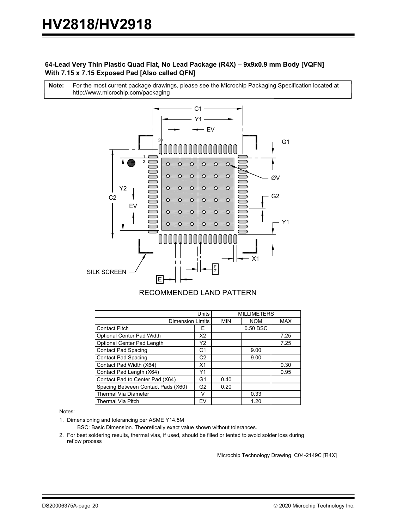#### **64-Lead Very Thin Plastic Quad Flat, No Lead Package (R4X) – 9x9x0.9 mm Body [VQFN] With 7.15 x 7.15 Exposed Pad [Also called QFN]**

For the most current package drawings, please see the Microchip Packaging Specification located at http://www.microchip.com/packaging **Note:**



#### RECOMMENDED LAND PATTERN

|                                    | <b>MILLIMETERS</b> |            |            |      |
|------------------------------------|--------------------|------------|------------|------|
| <b>Dimension Limits</b>            | <b>MIN</b>         | <b>NOM</b> | <b>MAX</b> |      |
| <b>Contact Pitch</b>               | 0.50 BSC           |            |            |      |
| Optional Center Pad Width          | X2                 |            |            | 7.25 |
| Optional Center Pad Length         | Υ2                 |            |            | 7.25 |
| Contact Pad Spacing                | C1                 |            | 9.00       |      |
| <b>Contact Pad Spacing</b>         | C <sub>2</sub>     |            | 9.00       |      |
| Contact Pad Width (X64)            | X1                 |            |            | 0.30 |
| Contact Pad Length (X64)           | Υ1                 |            |            | 0.95 |
| Contact Pad to Center Pad (X64)    | G1                 | 0.40       |            |      |
| Spacing Between Contact Pads (X60) | G <sub>2</sub>     | 0.20       |            |      |
| <b>Thermal Via Diameter</b>        |                    |            | 0.33       |      |
| <b>Thermal Via Pitch</b>           | EV                 |            | 1.20       |      |

Notes:

1. Dimensioning and tolerancing per ASME Y14.5M

BSC: Basic Dimension. Theoretically exact value shown without tolerances.

2. For best soldering results, thermal vias, if used, should be filled or tented to avoid solder loss during reflow process

Microchip Technology Drawing C04-2149C [R4X]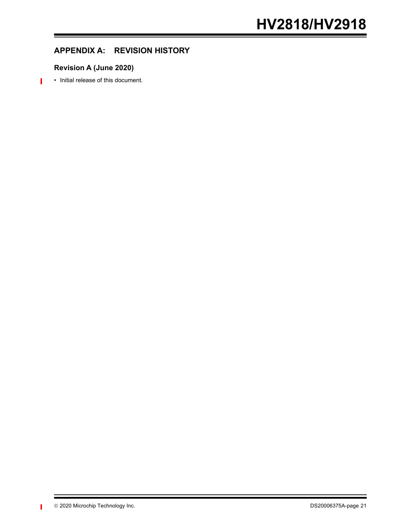# **APPENDIX A: REVISION HISTORY**

# **Revision A (June 2020)**

• Initial release of this document.

П

 $\blacksquare$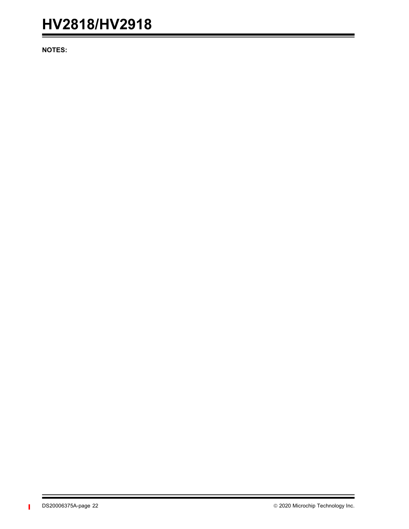**NOTES:**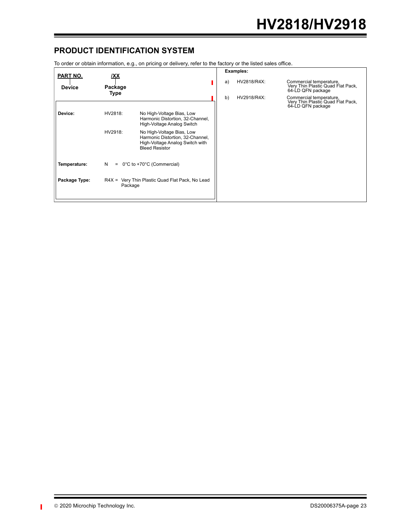# **PRODUCT IDENTIFICATION SYSTEM**

To order or obtain information, e.g., on pricing or delivery, refer to the factory or the listed sales office.

| <b>PART NO.</b> | IXX                                                        |                                                                                                                           |    | <b>Examples:</b> |                                                                                   |
|-----------------|------------------------------------------------------------|---------------------------------------------------------------------------------------------------------------------------|----|------------------|-----------------------------------------------------------------------------------|
| <b>Device</b>   | Package<br>Type                                            |                                                                                                                           | a) | HV2818/R4X:      | Commercial temperature,<br>Very Thin Plastic Quad Flat Pack,<br>64-LD QFN package |
|                 |                                                            |                                                                                                                           | b) | HV2918/R4X:      | Commercial temperature,<br>Very Thin Plastic Quad Flat Pack,<br>64-LD QFN package |
| Device:         | HV2818:                                                    | No High-Voltage Bias, Low<br>Harmonic Distortion, 32-Channel,<br>High-Voltage Analog Switch                               |    |                  |                                                                                   |
|                 | HV2918:                                                    | No High-Voltage Bias, Low<br>Harmonic Distortion, 32-Channel,<br>High-Voltage Analog Switch with<br><b>Bleed Resistor</b> |    |                  |                                                                                   |
| Temperature:    | N<br>0°C to +70°C (Commercial)<br>$=$                      |                                                                                                                           |    |                  |                                                                                   |
| Package Type:   | R4X = Very Thin Plastic Quad Flat Pack, No Lead<br>Package |                                                                                                                           |    |                  |                                                                                   |

П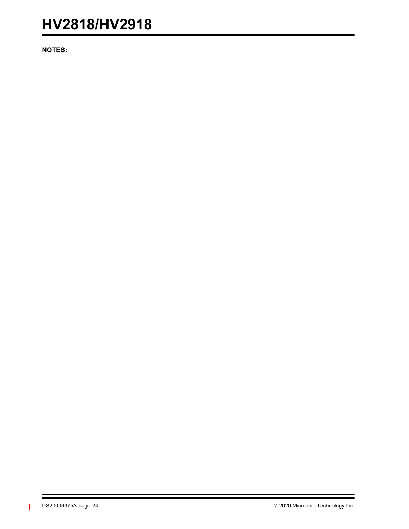**NOTES:**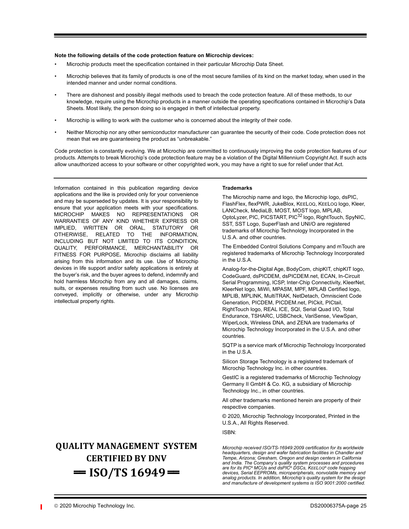#### **Note the following details of the code protection feature on Microchip devices:**

- Microchip products meet the specification contained in their particular Microchip Data Sheet.
- Microchip believes that its family of products is one of the most secure families of its kind on the market today, when used in the intended manner and under normal conditions.
- There are dishonest and possibly illegal methods used to breach the code protection feature. All of these methods, to our knowledge, require using the Microchip products in a manner outside the operating specifications contained in Microchip's Data Sheets. Most likely, the person doing so is engaged in theft of intellectual property.
- Microchip is willing to work with the customer who is concerned about the integrity of their code.
- Neither Microchip nor any other semiconductor manufacturer can guarantee the security of their code. Code protection does not mean that we are guaranteeing the product as "unbreakable."

Code protection is constantly evolving. We at Microchip are committed to continuously improving the code protection features of our products. Attempts to break Microchip's code protection feature may be a violation of the Digital Millennium Copyright Act. If such acts allow unauthorized access to your software or other copyrighted work, you may have a right to sue for relief under that Act.

Information contained in this publication regarding device applications and the like is provided only for your convenience and may be superseded by updates. It is your responsibility to ensure that your application meets with your specifications. MICROCHIP MAKES NO REPRESENTATIONS OR WARRANTIES OF ANY KIND WHETHER EXPRESS OR IMPLIED, WRITTEN OR ORAL, STATUTORY OR OTHERWISE, RELATED TO THE INFORMATION, INCLUDING BUT NOT LIMITED TO ITS CONDITION, QUALITY, PERFORMANCE, MERCHANTABILITY OR FITNESS FOR PURPOSE**.** Microchip disclaims all liability arising from this information and its use. Use of Microchip devices in life support and/or safety applications is entirely at the buyer's risk, and the buyer agrees to defend, indemnify and hold harmless Microchip from any and all damages, claims, suits, or expenses resulting from such use. No licenses are conveyed, implicitly or otherwise, under any Microchip intellectual property rights.

# **QUALITY MANAGEMENT SYSTEM CERTIFIED BY DNV**   $=$  **ISO/TS 16949** $=$

#### **Trademarks**

The Microchip name and logo, the Microchip logo, dsPIC, FlashFlex, flexPWR, JukeBlox, KEELOQ, KEELOQ logo, Kleer, LANCheck, MediaLB, MOST, MOST logo, MPLAB, OptoLyzer, PIC, PICSTART, PIC<sup>32</sup> logo, RightTouch, SpyNIC, SST, SST Logo, SuperFlash and UNI/O are registered trademarks of Microchip Technology Incorporated in the U.S.A. and other countries.

The Embedded Control Solutions Company and mTouch are registered trademarks of Microchip Technology Incorporated in the U.S.A.

Analog-for-the-Digital Age, BodyCom, chipKIT, chipKIT logo, CodeGuard, dsPICDEM, dsPICDEM.net, ECAN, In-Circuit Serial Programming, ICSP, Inter-Chip Connectivity, KleerNet, KleerNet logo, MiWi, MPASM, MPF, MPLAB Certified logo, MPLIB, MPLINK, MultiTRAK, NetDetach, Omniscient Code Generation, PICDEM, PICDEM.net, PICkit, PICtail, RightTouch logo, REAL ICE, SQI, Serial Quad I/O, Total Endurance, TSHARC, USBCheck, VariSense, ViewSpan, WiperLock, Wireless DNA, and ZENA are trademarks of Microchip Technology Incorporated in the U.S.A. and other countries.

SQTP is a service mark of Microchip Technology Incorporated in the U.S.A.

Silicon Storage Technology is a registered trademark of Microchip Technology Inc. in other countries.

GestIC is a registered trademarks of Microchip Technology Germany II GmbH & Co. KG, a subsidiary of Microchip Technology Inc., in other countries.

All other trademarks mentioned herein are property of their respective companies.

© 2020, Microchip Technology Incorporated, Printed in the U.S.A., All Rights Reserved.

ISBN:

*Microchip received ISO/TS-16949:2009 certification for its worldwide headquarters, design and wafer fabrication facilities in Chandler and Tempe, Arizona; Gresham, Oregon and design centers in California and India. The Company's quality system processes and procedures are for its PIC® MCUs and dsPIC® DSCs, KEELOQ® code hopping devices, Serial EEPROMs, microperipherals, nonvolatile memory and analog products. In addition, Microchip's quality system for the design and manufacture of development systems is ISO 9001:2000 certified.*